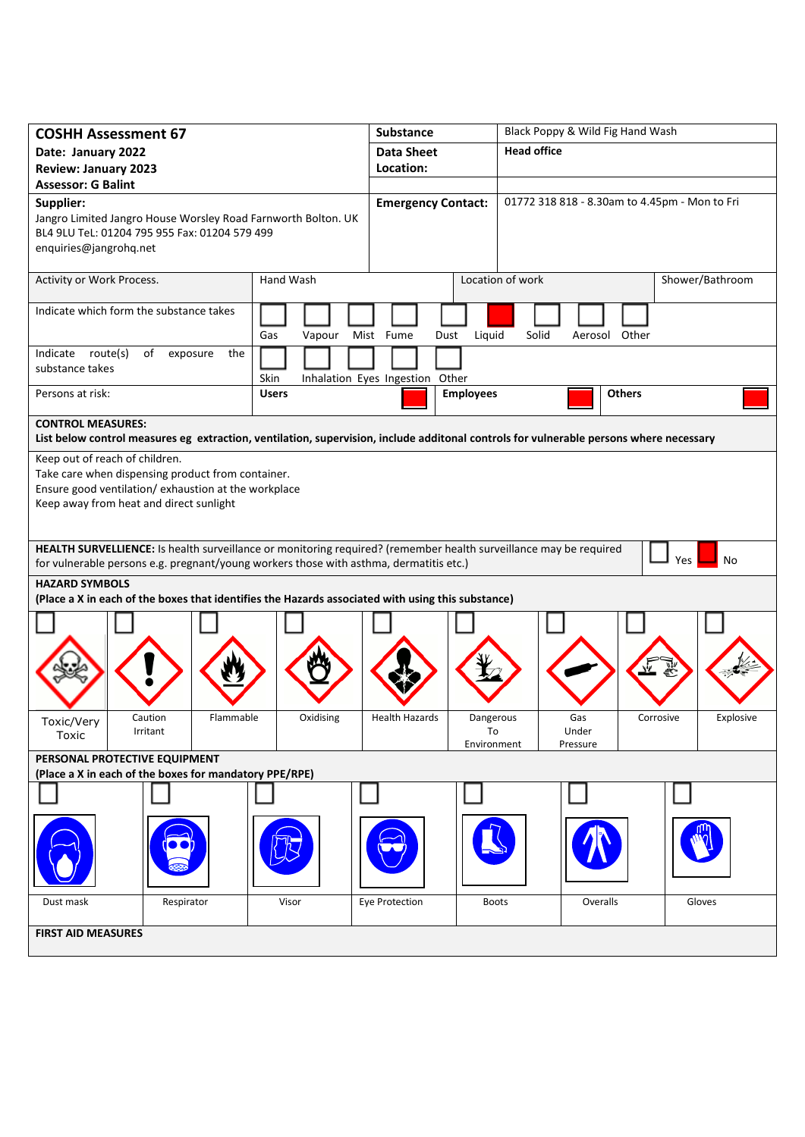| <b>Head office</b><br><b>Data Sheet</b><br>Date: January 2022<br>Location:<br><b>Review: January 2023</b><br><b>Assessor: G Balint</b><br>Supplier:<br>01772 318 818 - 8.30am to 4.45pm - Mon to Fri<br><b>Emergency Contact:</b><br>Jangro Limited Jangro House Worsley Road Farnworth Bolton. UK<br>BL4 9LU TeL: 01204 795 955 Fax: 01204 579 499<br>enquiries@jangrohq.net<br>Hand Wash<br>Location of work<br>Activity or Work Process.<br>Shower/Bathroom<br>Indicate which form the substance takes<br>Mist Fume<br>Liquid<br>Solid<br>Aerosol Other<br>Gas<br>Vapour<br>Dust<br>Indicate route(s)<br>of<br>the<br>exposure<br>substance takes<br>Inhalation Eyes Ingestion Other<br>Skin<br>Persons at risk:<br><b>Employees</b><br><b>Others</b><br><b>Users</b><br><b>CONTROL MEASURES:</b><br>List below control measures eg extraction, ventilation, supervision, include additonal controls for vulnerable persons where necessary<br>Keep out of reach of children.<br>Take care when dispensing product from container. |  |  |  |  |
|---------------------------------------------------------------------------------------------------------------------------------------------------------------------------------------------------------------------------------------------------------------------------------------------------------------------------------------------------------------------------------------------------------------------------------------------------------------------------------------------------------------------------------------------------------------------------------------------------------------------------------------------------------------------------------------------------------------------------------------------------------------------------------------------------------------------------------------------------------------------------------------------------------------------------------------------------------------------------------------------------------------------------------------|--|--|--|--|
|                                                                                                                                                                                                                                                                                                                                                                                                                                                                                                                                                                                                                                                                                                                                                                                                                                                                                                                                                                                                                                       |  |  |  |  |
|                                                                                                                                                                                                                                                                                                                                                                                                                                                                                                                                                                                                                                                                                                                                                                                                                                                                                                                                                                                                                                       |  |  |  |  |
|                                                                                                                                                                                                                                                                                                                                                                                                                                                                                                                                                                                                                                                                                                                                                                                                                                                                                                                                                                                                                                       |  |  |  |  |
|                                                                                                                                                                                                                                                                                                                                                                                                                                                                                                                                                                                                                                                                                                                                                                                                                                                                                                                                                                                                                                       |  |  |  |  |
|                                                                                                                                                                                                                                                                                                                                                                                                                                                                                                                                                                                                                                                                                                                                                                                                                                                                                                                                                                                                                                       |  |  |  |  |
|                                                                                                                                                                                                                                                                                                                                                                                                                                                                                                                                                                                                                                                                                                                                                                                                                                                                                                                                                                                                                                       |  |  |  |  |
|                                                                                                                                                                                                                                                                                                                                                                                                                                                                                                                                                                                                                                                                                                                                                                                                                                                                                                                                                                                                                                       |  |  |  |  |
|                                                                                                                                                                                                                                                                                                                                                                                                                                                                                                                                                                                                                                                                                                                                                                                                                                                                                                                                                                                                                                       |  |  |  |  |
|                                                                                                                                                                                                                                                                                                                                                                                                                                                                                                                                                                                                                                                                                                                                                                                                                                                                                                                                                                                                                                       |  |  |  |  |
|                                                                                                                                                                                                                                                                                                                                                                                                                                                                                                                                                                                                                                                                                                                                                                                                                                                                                                                                                                                                                                       |  |  |  |  |
|                                                                                                                                                                                                                                                                                                                                                                                                                                                                                                                                                                                                                                                                                                                                                                                                                                                                                                                                                                                                                                       |  |  |  |  |
| Ensure good ventilation/ exhaustion at the workplace<br>Keep away from heat and direct sunlight                                                                                                                                                                                                                                                                                                                                                                                                                                                                                                                                                                                                                                                                                                                                                                                                                                                                                                                                       |  |  |  |  |
| HEALTH SURVELLIENCE: Is health surveillance or monitoring required? (remember health surveillance may be required<br><b>Yes</b><br>No<br>for vulnerable persons e.g. pregnant/young workers those with asthma, dermatitis etc.)                                                                                                                                                                                                                                                                                                                                                                                                                                                                                                                                                                                                                                                                                                                                                                                                       |  |  |  |  |
| <b>HAZARD SYMBOLS</b><br>(Place a X in each of the boxes that identifies the Hazards associated with using this substance)                                                                                                                                                                                                                                                                                                                                                                                                                                                                                                                                                                                                                                                                                                                                                                                                                                                                                                            |  |  |  |  |
|                                                                                                                                                                                                                                                                                                                                                                                                                                                                                                                                                                                                                                                                                                                                                                                                                                                                                                                                                                                                                                       |  |  |  |  |
| Flammable<br>Oxidising<br><b>Health Hazards</b><br>Explosive<br>Caution<br>Dangerous<br>Gas<br>Corrosive<br>Toxic/Very<br>Irritant<br>To<br>Under<br>Toxic                                                                                                                                                                                                                                                                                                                                                                                                                                                                                                                                                                                                                                                                                                                                                                                                                                                                            |  |  |  |  |
| Environment<br>Pressure<br>PERSONAL PROTECTIVE EQUIPMENT<br>(Place a X in each of the boxes for mandatory PPE/RPE)                                                                                                                                                                                                                                                                                                                                                                                                                                                                                                                                                                                                                                                                                                                                                                                                                                                                                                                    |  |  |  |  |
|                                                                                                                                                                                                                                                                                                                                                                                                                                                                                                                                                                                                                                                                                                                                                                                                                                                                                                                                                                                                                                       |  |  |  |  |
|                                                                                                                                                                                                                                                                                                                                                                                                                                                                                                                                                                                                                                                                                                                                                                                                                                                                                                                                                                                                                                       |  |  |  |  |
|                                                                                                                                                                                                                                                                                                                                                                                                                                                                                                                                                                                                                                                                                                                                                                                                                                                                                                                                                                                                                                       |  |  |  |  |
| Visor<br>Eye Protection<br>Overalls<br>Gloves<br>Dust mask<br>Respirator<br><b>Boots</b>                                                                                                                                                                                                                                                                                                                                                                                                                                                                                                                                                                                                                                                                                                                                                                                                                                                                                                                                              |  |  |  |  |
|                                                                                                                                                                                                                                                                                                                                                                                                                                                                                                                                                                                                                                                                                                                                                                                                                                                                                                                                                                                                                                       |  |  |  |  |